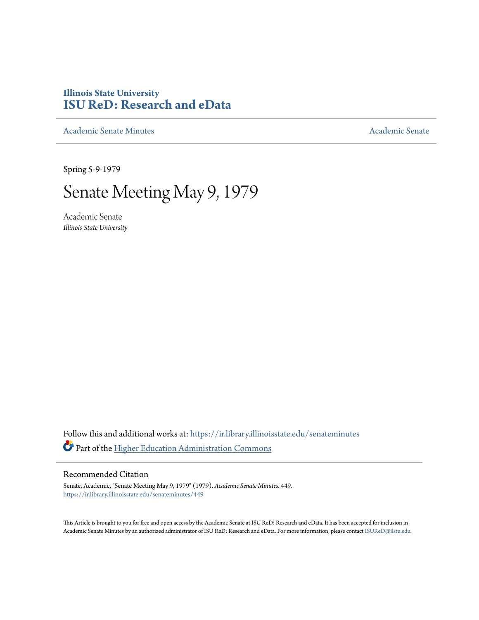# **Illinois State University [ISU ReD: Research and eData](https://ir.library.illinoisstate.edu?utm_source=ir.library.illinoisstate.edu%2Fsenateminutes%2F449&utm_medium=PDF&utm_campaign=PDFCoverPages)**

[Academic Senate Minutes](https://ir.library.illinoisstate.edu/senateminutes?utm_source=ir.library.illinoisstate.edu%2Fsenateminutes%2F449&utm_medium=PDF&utm_campaign=PDFCoverPages) [Academic Senate](https://ir.library.illinoisstate.edu/senate?utm_source=ir.library.illinoisstate.edu%2Fsenateminutes%2F449&utm_medium=PDF&utm_campaign=PDFCoverPages) Academic Senate

Spring 5-9-1979

# Senate Meeting May 9, 1979

Academic Senate *Illinois State University*

Follow this and additional works at: [https://ir.library.illinoisstate.edu/senateminutes](https://ir.library.illinoisstate.edu/senateminutes?utm_source=ir.library.illinoisstate.edu%2Fsenateminutes%2F449&utm_medium=PDF&utm_campaign=PDFCoverPages) Part of the [Higher Education Administration Commons](http://network.bepress.com/hgg/discipline/791?utm_source=ir.library.illinoisstate.edu%2Fsenateminutes%2F449&utm_medium=PDF&utm_campaign=PDFCoverPages)

# Recommended Citation

Senate, Academic, "Senate Meeting May 9, 1979" (1979). *Academic Senate Minutes*. 449. [https://ir.library.illinoisstate.edu/senateminutes/449](https://ir.library.illinoisstate.edu/senateminutes/449?utm_source=ir.library.illinoisstate.edu%2Fsenateminutes%2F449&utm_medium=PDF&utm_campaign=PDFCoverPages)

This Article is brought to you for free and open access by the Academic Senate at ISU ReD: Research and eData. It has been accepted for inclusion in Academic Senate Minutes by an authorized administrator of ISU ReD: Research and eData. For more information, please contact [ISUReD@ilstu.edu.](mailto:ISUReD@ilstu.edu)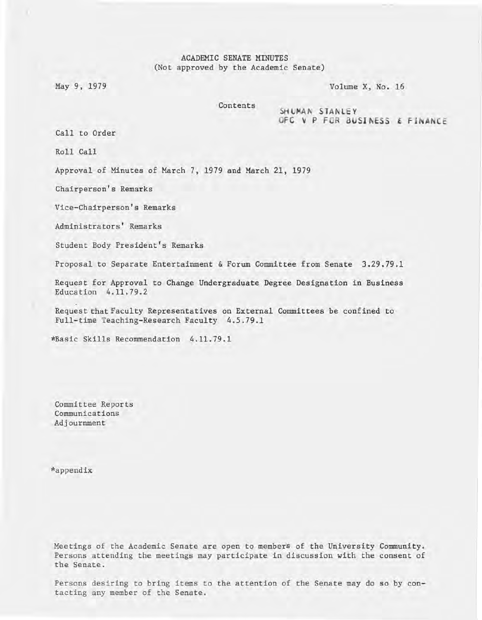ACADEMIC SENATE MINUTES (Not approved by the Academic Senate)

May 9, 1979 Volume X, No. 16

Contents SHUMAN STANLEY OFC  $V$  P FOR BUSINESS  $E$  FINANCE

Call to Order

Roll Call

Approval of Minutes of March 7, 1979 and March 21, 1979

Chairperson's Remarks

Vice-Chairperson's Remarks

Administrators' Remarks

Student Body President's Remarks

Proposal to Separate Entertainment & Forum Committee from Senate 3.29.79.1

Request for Approval to Change Undergraduate Degree Designation in Business Education 4.11.79.2

Request that Faculty Representatives on External Committees be confined to Full-time Teaching-Research Faculty 4.5.79.1

\*Basic Skills Recommendation 4.11.79.1

Committee Reports Communications Adjournment

\*appendix

Meetings of the Academic Senate are open to members of the University Community. Persons attending the meetings may participate in discussion with the consent of the Senate.

Persons desiring to bring items to the attention of the Senate may do so by contacting any member of the Senate.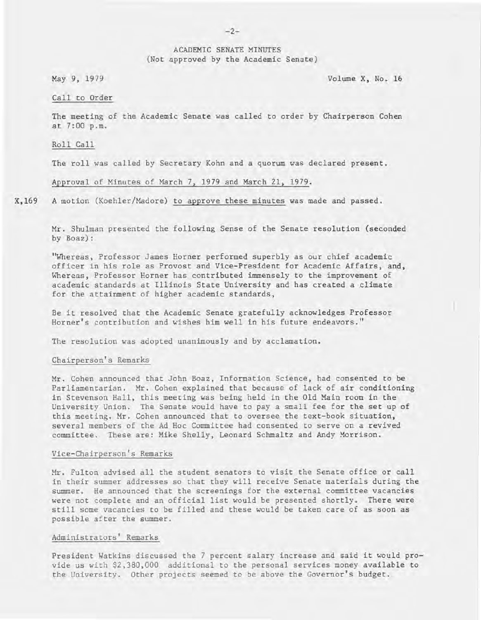#### ACADEMIC SENATE MINUTES (Not approved by the Academic Senate)

May 9, 1979 Volume X, No. 16

#### Call to Order

The meeting of the Academic Senate was called to order by Chairperson Cohen at 7:00 p.m.

#### Roll Call

The roll was called by Secretary Kohn and a quorum was declared present.

#### Approval of Minutes of March 7, 1979 and March 21, 1979.

X,169 A motion (Koehler/Madore) to approve these minutes was made and passed.

> Mr. Shulman presented the following Sense of the Senate resolution (seconded by Boaz):

> "Whereas, Professor James Horner performed superbly as our chief academic officer in his role as Provost and Vice-President for Academic Affairs, and, Whereas, Professor Horner has contributed immensely to the improvement of academic standards at Illinois State University and has created a climate for the attainment of higher academic standards,

Be it resolved that the Academic Senate gratefully acknowledges Professor Horner's contribution and wishes him well in his future endeavors."

The resolution was adopted unanimously and by acclamation.

#### Chairperson's Remarks

Mr. Cohen announced that John Boaz, Information Science, had consented to be Parliamentarian. Mr. Cohen explained that because of lack of air conditioning in Stevenson Hall, this meeting was being held in the Old Main room in the University Union. The Senate would have to pay a small fee for the set up of this meeting. Mr. Cohen announced that to oversee the text-book situation, several members of the Ad Hoc Committee had consented to serve on a revived committee. These are: Mike Shelly, Leonard Schmaltz and Andy Morrison.

#### Vice-Chairperson's Remarks

Mr. Fulton advised all the student senators to visit the Senate office or call in their summer addresses so that they will receive Senate materials during the summer. He announced that the screenings for the external committee vacancies were not complete and an official list would be presented shortly. There were still some vacancies to be filled and these would be taken care of as soon as possible after the summer.

#### Administrators' Remarks

President Watkins discussed the 7 percent salary increase and said it would provide us with \$2,380,000 additional to the personal services money available to the University. Other projects seemed to be above the Governor's budget.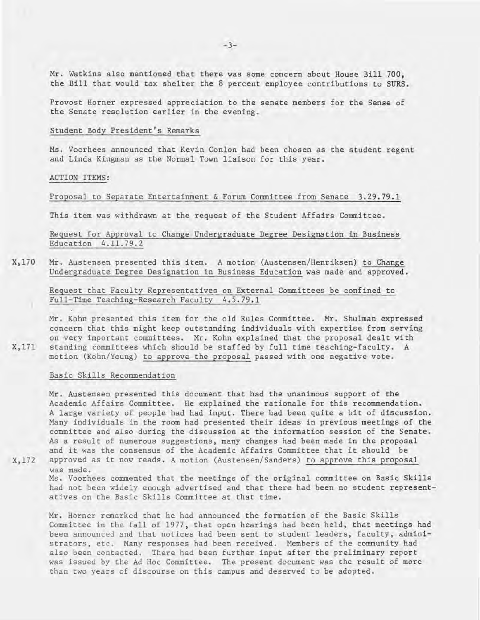Mr. Watkins also mentioned that there was some concern about House Bill 700, the Bill that would tax shelter the 8 percent employee contributions to SURS.

Provost Horner expressed appreciation to the senate members for the Sense of the Senate resolution earlier in the evening.

Student Body President's Remarks

Ms. Voorhees announced that Kevin Conlon had been chosen as the student regent and Linda Kingman as the Normal Town liaison for this year.

ACTION ITEMS:

Proposal to Separate Entertainment & Forum Committee from Senate 3.29.79.1

This item was withdrawn at the request of the Student Affairs Committee.

Request for Approval to Change Undergraduate Degree Designation in Business Education 4.11.79.2

X,170 Mr. Austensen presented this item. A motion (Austensen/Henriksen) to Change Undergraduate Degree Designation in Business Education was made and approved.

Request that Faculty Representatives on External Committees be confined to Full-Time Teaching-Research Faculty 4.5.79.1

Mr. Kohn presented this item for the old Rules Committee. Mr. Shulman expressed concern that this might keep outstanding individuals with expertise from serving on very important committees. Mr. Kohn explained that the proposal dealt with standing committees which should be staffed by full time teaching-faculty. A motion (Kohn/Young) to approve the proposal passed with one negative vote.

Basic Skills Recommendation

Mr. Austensen presented this document that had the unanimous support of the Academic Affairs Committee. He explained the rationale for this recommendation. A large variety of people had had input. There had been quite a bit of discussion. Many individuals in the room had presented their ideas in previous meetings of the committee and also during the discussion at the information session of the Senate. As a result of numerous suggestions, many changes had been made in the proposal and it was the consensus of the Academic Affairs Committee that it should be approved as it now reads. A motion (Austensen/Sanders) to approve this proposal

X,172

X,171

was made. Ms. Voorhees commented that the meetings of the original committee on Basic Skills

had not been widely enough advertised and that there had been no student representatives on the Basic Skills Committee at that time.

Mr. Horner remarked that he had announced the formation of the Basic Skills Committee in the fall of 1977, that open hearings had been held, that meetings had been announced and that notices had been sent to student leaders, faculty, administrators, etc. Many responses had been received. Members of the community had also been contacted. There had been further input after the preliminary report was issued by the Ad Hoc Committee. The present document was the result of more than two years of discourse on this campus and deserved to be adopted.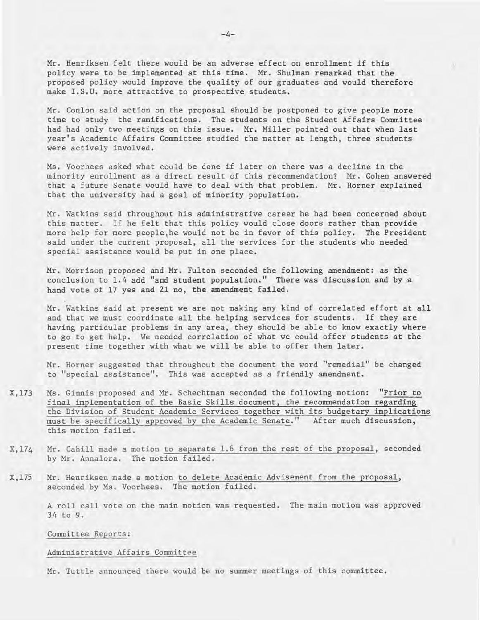Mr. Henriksen felt there would be an adverse effect on enrollment if this policy were to be implemented at this time. Mr. Shulman remarked that the proposed policy would improve the quality of our graduates and would therefore make I.S.U. more attractive to prospective students.

Mr. Conlon said action on the proposal should be postponed to give people more time to study the ramifications. The students on the Student Affairs Committee had had only two meetings on this issue. Mr. Miller pointed out that when last year's Academic Affairs Committee studied the matter at length, three students were actively involved.

Ms. Voorhees asked what could be done if later on there was a decline in the minority enrollment as a direct result of this recommendation? Mr. Cohen answered that a future Senate would have to deal with that problem. Mr. Horner explained that the university had a goal of minority population.

Mr. Watkins said throughout his administrative career he had been concerned about this matter. If he felt that this policy would close doors rather than provide more help for more people,he would not be in favor of this policy. The President said under the current proposal, all the services for the students who needed special assistance would be put in one place.

Mr. Morrison proposed and Mr. Fulton seconded the following amendment: as the conclusion to 1.4 add "and student population." There was discussion and by a hand vote of 17 yes and 21 no, the amendment failed.

Mr. Watkins said at present we are not making any kind of correlated effort at all and that we must coordinate all the helping services for students. If they are having particular problems in any area, they should be able to know exactly where to go to get help. We needed correlation of what we could offer students at the present time together with what we will be able to offer them later.

Mr. Horner suggested that throughout the document the word "remedial" be changed to "special assistance". This was accepted as a friendly amendment.

- X,173 Ms. Ginnis proposed and Mr. Schechtman seconded the following motion: "Prior to final implementation of the Basic Skills document, the recommendation regarding the Division of Student Academic Services together with its budgetary implications must be specifically approved by the Academic Senate." After much discussion, this motion failed.
- X,174 Mr. Cahill made a motion to separate 1.6 from the rest of the proposal, seconded by Mr. Annalora. The motion failed.
- *X,17S*  Mr. Henriksen made a motion to delete Academic Advisement from the proposal, seconded by Ms. Voorhees. The motion failed.

A roll call vote on the main motion was requested. The main motion was approved 34 to 9.

Committee Reports:

#### Administrative Affairs Committee

Mr. Tuttle announced there would be no summer meetings of this committee.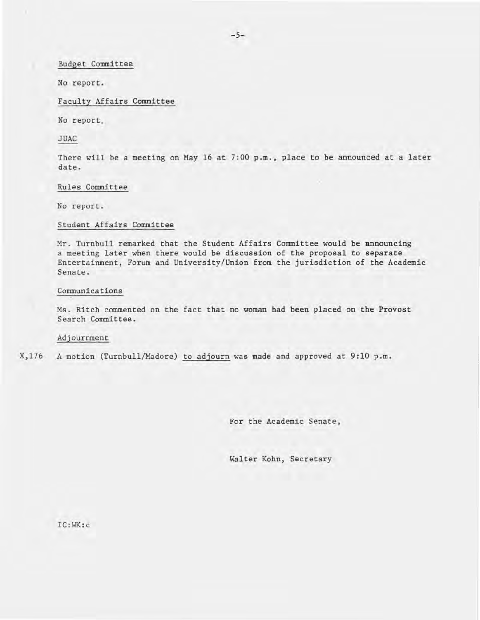Budget Committee

No report.

Faculty Affairs Committee

No report.

JUAC

There will be a meeting on May 16 at 7:00 p.m., place to be announced at a later date.

#### Rules Committee

No report.

#### Student Affairs Committee

Mr. Turnbull remarked that the Student Affairs Committee would be announcing a meeting later when there would be discussion of the proposal to separate Entertainment, Forum and University/Union from the jurisdiction of the Academic Senate.

#### Communications

Ms. Ritch commented on the fact that no woman had been placed on the Provost Search Committee.

# Adjournment

X,176 A motion (Turnbull/Madore) to adjourn was made and approved at 9:10 p.m.

For the Academic Senate,

Walter Kohn, Secretary

IC:WK:c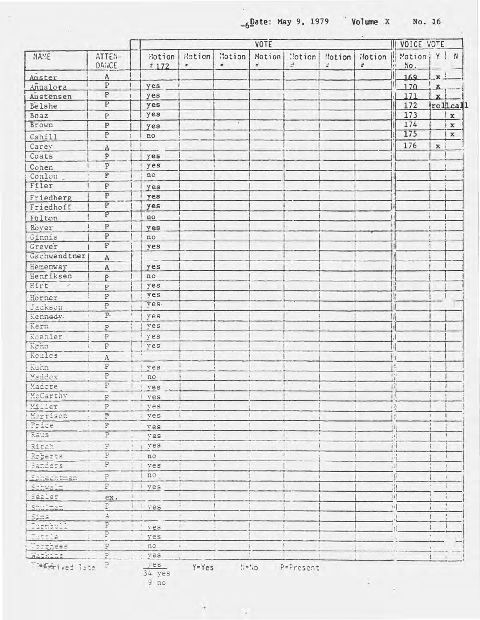**\_6**Date: May 9, 1979 **Volume X** No. 16

 $\mathcal{L}$  .

 $\mathcal{A}=\frac{1}{2}$ 

| NAME                  |                                           | <b>VOTE</b>         |                            |                                 |             |               |             |             | VOICE VOTE            |              |             |
|-----------------------|-------------------------------------------|---------------------|----------------------------|---------------------------------|-------------|---------------|-------------|-------------|-----------------------|--------------|-------------|
|                       | ATTEN-<br>DANCE                           | Motion<br>$\pm$ 172 | Motion<br>$\boldsymbol{z}$ | <b>Notion</b><br>$\overline{z}$ | Motion<br>괖 | :!otion<br>÷. | Motion<br>ä | Motion<br>쓘 | Motion   Y ! N<br>No. |              |             |
| Amster                | A                                         |                     |                            |                                 |             |               |             |             | 169                   | $\mathbf{x}$ |             |
| Annalora              | $\, {\bf P}$                              | yes                 |                            |                                 |             |               |             |             | 170                   | $\mathbf{x}$ |             |
| Austensen             | $\overline{\text{P}}$                     | yes                 |                            |                                 |             |               |             |             | 171                   | $\mathbf{x}$ |             |
| Belshe                | $\overline{P}$                            | yes                 |                            |                                 |             |               |             |             | 172                   |              | rollcall    |
| Boaz                  | $\, {\bf P}$                              | yes                 |                            |                                 |             |               |             |             | 173                   |              | $\mathbf x$ |
| Brown                 | $\overline{\mathbf{P}}$                   | yes                 |                            | $\sim$                          |             |               |             |             | 174                   |              | $\mathbf x$ |
| Cahill                | $\overline{P}$                            | no                  |                            |                                 |             |               |             |             | 175                   |              | x           |
| Carey                 | A                                         |                     |                            |                                 |             |               |             |             | 176                   | $\mathbf x$  |             |
| Coats                 | P                                         | yes                 |                            |                                 |             |               |             |             |                       |              |             |
| Cohen                 | $\overline{\text{P}}$                     | yes                 |                            |                                 |             |               |             |             |                       |              |             |
| Conlon                | $\overline{P}$                            | no                  |                            |                                 |             |               |             |             |                       |              |             |
| Filer                 | ${\bf P}$                                 | yes                 |                            |                                 |             |               |             |             |                       |              |             |
| Friedberg             | $\overline{P}$                            | yes                 |                            |                                 |             |               |             |             |                       |              |             |
| Friedhoff             | $\overline{\mathbb{P}}$                   | yes                 |                            |                                 |             |               |             |             |                       |              |             |
|                       | p                                         | no                  |                            |                                 |             |               |             |             |                       |              |             |
| Fulton<br>Bover       | $\, {\bf p}$                              |                     |                            |                                 |             |               |             |             |                       |              |             |
| Ginnis                | $\overline{P}$                            | yes<br>no           |                            |                                 |             |               |             |             |                       |              |             |
| Grever                | $\overline{P}$                            | yes                 |                            |                                 |             |               |             |             |                       |              |             |
| Gschwendtner          |                                           |                     |                            |                                 |             |               |             |             |                       |              |             |
|                       | $\,$ A                                    |                     |                            |                                 |             |               |             |             |                       |              |             |
| Hemenway<br>Henriksen | $\,$ A                                    | yes                 |                            |                                 |             |               |             |             |                       |              |             |
| Hirt<br>$\mathcal{L}$ | p                                         | no<br>yes           |                            |                                 |             |               |             |             |                       |              |             |
|                       | $\, {\bf p}$                              | yes                 |                            |                                 |             |               |             |             | 13                    |              |             |
| Horner                | $\, {\bf p}$                              | yes.                |                            |                                 |             |               |             |             |                       |              |             |
| Jackson               | $\overline{\mathrm{P}}$<br>$\overline{P}$ |                     |                            |                                 |             |               |             |             |                       |              |             |
| Kennedy.              |                                           | ves                 |                            |                                 |             |               |             |             |                       |              |             |
| Kern                  | $\, {\bf P}$                              | ves                 |                            |                                 |             |               |             |             |                       |              |             |
| Koehler               | $\, {\bf P}$                              | yes                 |                            |                                 |             |               |             |             | Л                     |              |             |
| Kehn                  | $\, {\rm P}$                              | ves                 |                            |                                 |             |               |             |             | Ш                     |              |             |
| Koules                | A                                         |                     |                            |                                 |             |               |             |             | İΗ                    |              |             |
| Kuhn                  | P                                         | ves                 |                            |                                 |             |               |             |             | B                     |              |             |
| Maddox                | P                                         | $'$ no              |                            |                                 |             |               |             |             | $1 - 1$               |              |             |
| Madore                | P                                         | <i>i</i> ves        |                            |                                 |             |               |             |             | Ti!                   |              |             |
| McCarthy              | H.<br>P                                   | ves                 |                            |                                 |             |               |             |             |                       |              |             |
| Willer                | $\, {\bf P}$                              | ves <sup>'</sup>    |                            |                                 |             |               |             |             |                       |              |             |
| Morrison              | P.<br>÷.                                  | ves                 |                            |                                 |             |               |             |             |                       |              |             |
| Price                 | P<br>$\mathbf{r}$                         | ves                 | ×                          |                                 |             |               |             |             | 91                    |              |             |
| Raus                  | P                                         | ves                 |                            |                                 |             |               |             |             |                       |              |             |
| Ritch                 | P                                         | ves                 |                            |                                 |             |               |             |             |                       |              |             |
| Roberts               | P                                         | no                  |                            |                                 |             |               |             |             | $\mathcal{X}$         |              |             |
| Sanders               | P                                         | ves                 |                            |                                 |             |               |             |             | $n^{2}$               |              |             |
| Schechtman            | P                                         | no                  |                            |                                 |             |               |             |             | ٠H                    |              |             |
| Schwalz               | $\overline{\Gamma}$                       | ves                 |                            |                                 |             |               |             |             | 111                   |              |             |
| Segler                | ex.                                       | $+1$                |                            |                                 |             |               |             |             | Ш                     |              |             |
| Shultan               | P                                         | I l yes             |                            |                                 |             |               |             |             | $\mathbf{u}$          |              |             |
| Sims                  | À                                         | $\mathbf{i}$        |                            |                                 |             |               |             |             |                       |              |             |
| Purnbull              | Þ                                         | ves!                |                            |                                 |             |               |             |             |                       |              |             |
| Tubble                | P                                         | ves!                |                            |                                 |             |               |             |             |                       |              |             |
| Worrhees              | P                                         | nc                  | $\mathbf{r}$               |                                 |             |               |             |             |                       |              |             |
| Watkins               | Þ                                         | ves                 |                            |                                 |             |               |             |             |                       |              |             |
|                       |                                           |                     |                            |                                 |             |               |             |             |                       |              |             |

Example the diste  $\frac{p}{34}$  yes  $\frac{y \text{es}}{9 \text{ no}}$   $\frac{y \text{es}}{9 \text{ no}}$   $\frac{y \text{es}}{9 \text{ no}}$   $\frac{y \text{es}}{9 \text{ no}}$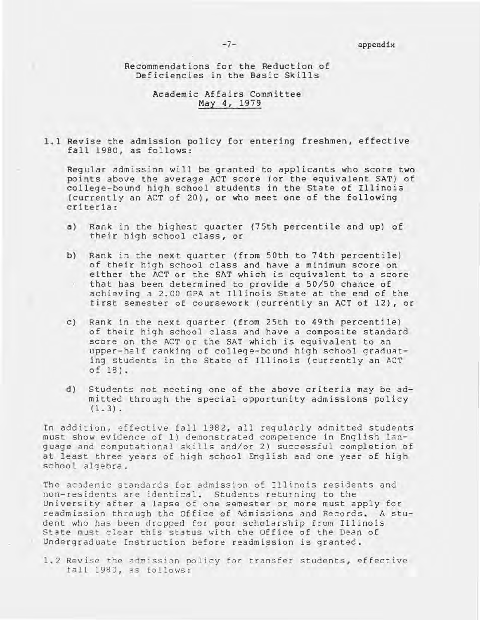Recommendations for the Reduction of Deficiencies in the Basic Skills

# Academic Affairs Committee May 4, 1979

**1.1** Revise the admission policy tor entering freshmen, effective fall 1980, as follows:

Regular admission will be granted to applicants who score two points above the average ACT score (or the equivalent SAT) of college-bound high school students in the State of Illinois (currently an ACT of 20), or who meet one of the following criteria:

- a) Rank in the highest quarter (75th percentile and up) of their high school class, or
- b) Rank in the next quarter (from 50th to 74th percentile) of their high school class and have a minimum score on either the ACT or the SAT which is equivalent to a score that has been determined to provide a 50/50 chance of achieving a 2.00 GPA at Illinois State at the end of the first semester of coursework (currently an ACT of 12), or
- c) Rank in the next quarter (from 25th to 49th percentile) of their high school class and have a composite standard score on the ACT or the SAT which is equivalent to an upper-half ranking of college-bound high school gradunting students in the State of Illinois (currently an ACT of 18).
- d) Students not meeting one of the above criteria may be admitted through the special opportunity admissions policy  $(1.3)$ .

In addition, effective fall 1982, all regularly admitted students must show evidence of 1) demonstrated competence in English language and computational skills and/or 2) successful completion of at least three years of high school English and one year of high school algebra.

The academic standards for admission of Illinois residents and non-residents are identical. Students returning to the University after a lapse of one semester or more must apply for readmission through the Office of Admissions and Records. A student who has been dro pped for poor scholarship from Illinois State must clear this status with the Office of the Dean of Undergraduate Instruction before readmission is granted.

1.2 Revise the admission policy for transfer students, effective fa 11 1 980, a s *Eo* 110 ws :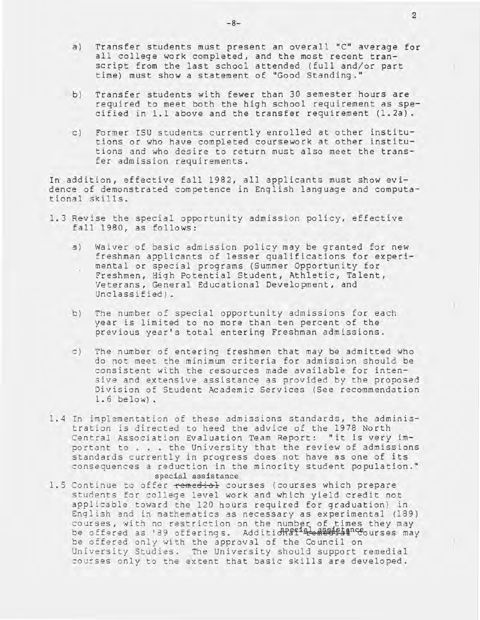- a) Transfer students must present an overall *"C"* average for all college work completed, and the most recent transcript from the last school attended (full and/or part time) must show a statement of "Good Standing."
- b) Transfer students with fewer than 30 semester hours are required to meet both the high school requirement as specified in 1.1 above and the transfer requirement (1.2a).
- c) Former ISU students currently enrolled at other institutions or who have completed coursework at other institutions and who desire to return must also meet the transfer admission requirements.

In addition, effective fall 1982, all applicants must show evidence of demonstrated competence in English language and computational skills.

- 1.3 Revise the special opportunity admission policy, effective fall 1980, as follows:
	- a) Waiver of basic admission policy may be granted for new freshman applicants of lesser qualifications for experimental or special programs (Summer Opportunity for Freshmen, High Potential Student, Athletic, Talent, Veterans, General Educational Development, and Unclassified) .
	- b) The number of special opportunity admissions for each year is limited to no more than ten percent of the previous year's total entering Freshman admissions.
	- c) The number of entering freshmen that may be admitted who do not meet the minimum criteria for admission should be consistent with the resources made available for intensive and extensive assistance as provided by the proposed Division of Student Academic Services (See recommendation 1.6 below).
- 1.4 In implementation of these admissions standards, the administration is directed to heed the advice of the 1978 North Central Association Evaluation Team Report: "it is very im-portant to ... the University that the review of admissions portant to . . . the University that the review of admissions standards currently in progress does not have as one of its consequences a reduction in the minority student population." special assistance
- 1.5 Continue to offer remedial courses (courses which prepare students for college level work and which yield credit not applicable toward the 120 hours required for graduation) in English and in mathematics as necessary as experimental (189) courses, with no restriction on the number of times they may be offered as '89 offerings. Addition and the settled choices may be offered only with the approval of the Council on University Studies. The University should support remedial courses only to the extent that basic skills are developed.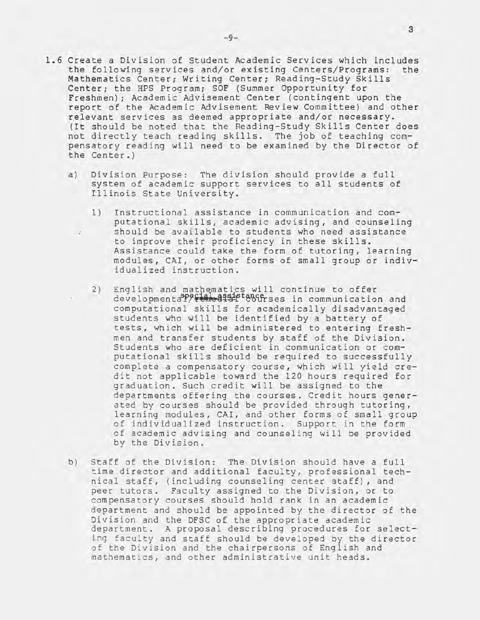- 1.6 Create a Division of Student Academic Services which includes the following services and/or existing Centers/Programs: the Mathematics Center; Writing Center; Reading-Study Skills Center; the HPS Program; SOF (Summer opportunity for Freshmen); Academic Advisement Center (contingent upon the report of the Academic Advisement Review Committee) and other relevant services as deemed appropriate and/or necessary. (It should be noted that the Reading-Study Skills Center does not directly teach reading skills. The job of teaching com
	- a) Division Purpose: The division should provide a full system of academic support services to all students of Illinois State University.

the Center.)

 $\sim$ 

pensatory reading will need to be examined by the Director of

- 1 ) Instructional assistance in communication and computational skills, academic advising, and counseling should be available to students who need assistance to improve their proficiency in these skills. Assistance could take the form of tutoring, learning modules, CAl, or other forms of small group or individualized instruction.
- 2) English and mathematics will continue to offer developmentaPPFLAL all if tangers in communication and computational skills for academically disadvantaged students who will be identified by a battery of tests, which will be administered to entering freshmen and transfer students by staff of the Division. Students who are deficient in communication or computational skills should be required to successfully complete a compensatory course, which will yield credit not applicable toward the 120 hours required for graduation. Such credit will be assigned to the departments offering the courses. Credit hours generated by courses should be provided through tutoring, learning modules, CAl, and other forms of small group of individualized instruction. Support in the form of academic advising and counseling will be provided by the Division.
- b) Staff of the Division: The Division should have a full time director and additional faculty, professional technical staff, (including counseling center staff), and peer tutors. Faculty assigned to the Division, or to compensatory courses should hold rank in an academic department and should be appointed by the director of the Division and the DFSC of the appropriate academic department. A proposal describing procedures for selecting faculty and staff should be developed by the director of the Division and the chairpersons of English and mathematics, and other administrative unit heads.